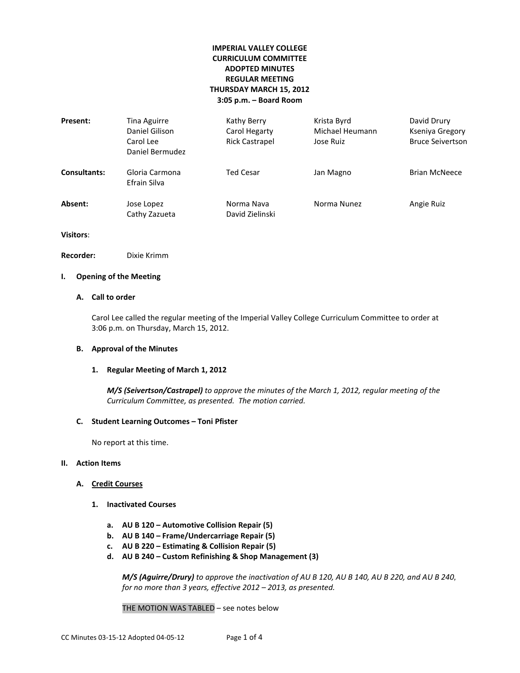# **IMPERIAL VALLEY COLLEGE CURRICULUM COMMITTEE ADOPTED MINUTES REGULAR MEETING THURSDAY MARCH 15, 2012 3:05 p.m. – Board Room**

| Present:            | Tina Aguirre<br>Daniel Gilison<br>Carol Lee<br>Daniel Bermudez | Kathy Berry<br>Carol Hegarty<br><b>Rick Castrapel</b> | Krista Byrd<br>Michael Heumann<br>Jose Ruiz | David Drury<br>Kseniya Gregory<br><b>Bruce Seivertson</b> |
|---------------------|----------------------------------------------------------------|-------------------------------------------------------|---------------------------------------------|-----------------------------------------------------------|
| <b>Consultants:</b> | Gloria Carmona<br>Efrain Silva                                 | Ted Cesar                                             | Jan Magno                                   | <b>Brian McNeece</b>                                      |
| Absent:             | Jose Lopez<br>Cathy Zazueta                                    | Norma Nava<br>David Zielinski                         | Norma Nunez                                 | Angie Ruiz                                                |

**Visitors**:

**Recorder:** Dixie Krimm

# **I. Opening of the Meeting**

# **A. Call to order**

Carol Lee called the regular meeting of the Imperial Valley College Curriculum Committee to order at 3:06 p.m. on Thursday, March 15, 2012.

## **B. Approval of the Minutes**

## **1. Regular Meeting of March 1, 2012**

*M/S (Seivertson/Castrapel) to approve the minutes of the March 1, 2012, regular meeting of the Curriculum Committee, as presented. The motion carried.*

## **C. Student Learning Outcomes – Toni Pfister**

No report at this time.

# **II. Action Items**

## **A. Credit Courses**

- **1. Inactivated Courses**
	- **a. AU B 120 – Automotive Collision Repair (5)**
	- **b. AU B 140 – Frame/Undercarriage Repair (5)**
	- **c. AU B 220 – Estimating & Collision Repair (5)**
	- **d. AU B 240 – Custom Refinishing & Shop Management (3)**

*M/S (Aguirre/Drury) to approve the inactivation of AU B 120, AU B 140, AU B 220, and AU B 240, for no more than 3 years, effective 2012 – 2013, as presented.* 

THE MOTION WAS TABLED – see notes below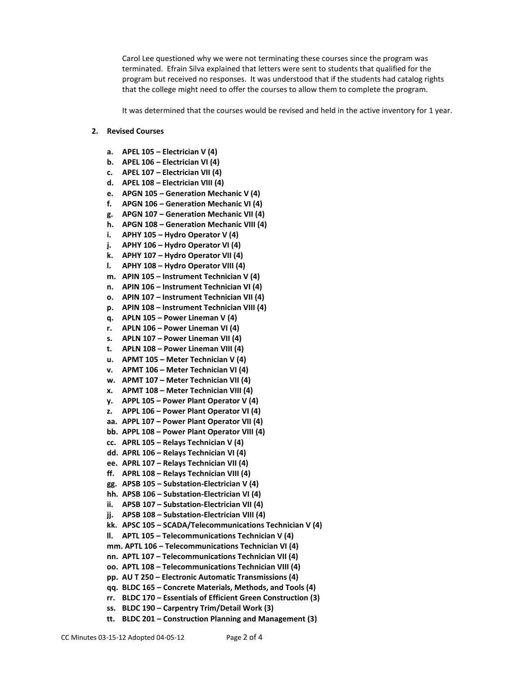Carol Lee questioned why we were not terminating these courses since the program was terminated. Efrain Silva explained that letters were sent to students that qualified for the program but received no responses. It was understood that if the students had catalog rights that the college might need to offer the courses to allow them to complete the program.

It was determined that the courses would be revised and held in the active inventory for 1 year.

## **2. Revised Courses**

- **a. APEL 105 – Electrician V (4)**
- **b. APEL 106 – Electrician VI (4)**
- **c. APEL 107 – Electrician VII (4)**
- **d. APEL 108 – Electrician VIII (4)**
- **e. APGN 105 – Generation Mechanic V (4)**
- **f. APGN 106 – Generation Mechanic VI (4)**
- **g. APGN 107 – Generation Mechanic VII (4)**
- **h. APGN 108 – Generation Mechanic VIII (4)**
- **i. APHY 105 – Hydro Operator V (4)**
- **j. APHY 106 – Hydro Operator VI (4)**
- **k. APHY 107 – Hydro Operator VII (4)**
- **l. APHY 108 – Hydro Operator VIII (4)**
- **m. APIN 105 – Instrument Technician V (4)**
- **n. APIN 106 – Instrument Technician VI (4)**
- **o. APIN 107 – Instrument Technician VII (4)**
- **p. APIN 108 – Instrument Technician VIII (4)**
- **q. APLN 105 – Power Lineman V (4)**
- **r. APLN 106 – Power Lineman VI (4)**
- **s. APLN 107 – Power Lineman VII (4)**
- **t. APLN 108 – Power Lineman VIII (4)**
- **u. APMT 105 – Meter Technician V (4)**
- **v. APMT 106 – Meter Technician VI (4)**
- **w. APMT 107 – Meter Technician VII (4)**
- **x. APMT 108 – Meter Technician VIII (4)**
- **y. APPL 105 – Power Plant Operator V (4)**
- **z. APPL 106 – Power Plant Operator VI (4)**
- **aa. APPL 107 – Power Plant Operator VII (4)**
- **bb. APPL 108 – Power Plant Operator VIII (4)**
- **cc. APRL 105 – Relays Technician V (4)**
- **dd. APRL 106 – Relays Technician VI (4)**
- **ee. APRL 107 – Relays Technician VII (4)**
- **ff. APRL 108 – Relays Technician VIII (4)**
- **gg. APSB 105 – Substation-Electrician V (4)**
- **hh. APSB 106 – Substation-Electrician VI (4)**
- **ii. APSB 107 – Substation-Electrician VII (4)**
- **jj. APSB 108 – Substation-Electrician VIII (4)**
- **kk. APSC 105 – SCADA/Telecommunications Technician V (4)**
- **ll. APTL 105 – Telecommunications Technician V (4)**
- **mm. APTL 106 – Telecommunications Technician VI (4)**
- **nn. APTL 107 – Telecommunications Technician VII (4)**
- **oo. APTL 108 – Telecommunications Technician VIII (4)**
- **pp. AU T 250 – Electronic Automatic Transmissions (4)**
- **qq. BLDC 165 – Concrete Materials, Methods, and Tools (4)**
- **rr. BLDC 170 – Essentials of Efficient Green Construction (3)**
- **ss. BLDC 190 – Carpentry Trim/Detail Work (3)**
- **tt. BLDC 201 – Construction Planning and Management (3)**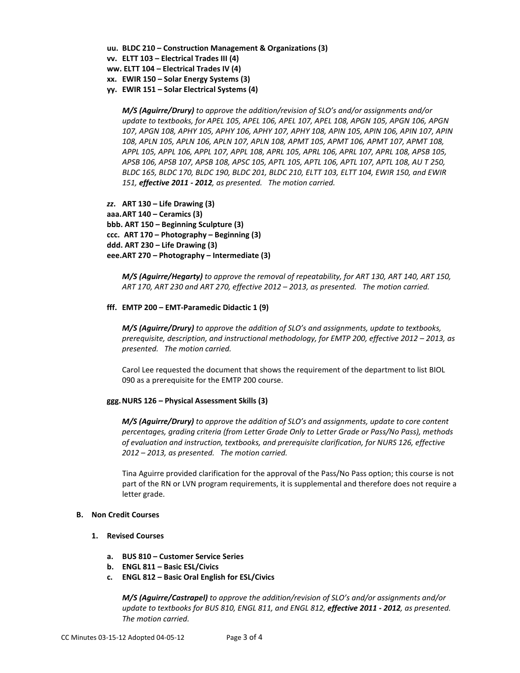- **uu. BLDC 210 – Construction Management & Organizations (3)**
- **vv. ELTT 103 – Electrical Trades III (4)**
- **ww. ELTT 104 – Electrical Trades IV (4)**
- **xx. EWIR 150 – Solar Energy Systems (3)**
- **yy. EWIR 151 – Solar Electrical Systems (4)**

*M/S (Aguirre/Drury) to approve the addition/revision of SLO's and/or assignments and/or update to textbooks, for APEL 105, APEL 106, APEL 107, APEL 108, APGN 105, APGN 106, APGN 107, APGN 108, APHY 105, APHY 106, APHY 107, APHY 108, APIN 105, APIN 106, APIN 107, APIN 108, APLN 105, APLN 106, APLN 107, APLN 108, APMT 105, APMT 106, APMT 107, APMT 108, APPL 105, APPL 106, APPL 107, APPL 108, APRL 105, APRL 106, APRL 107, APRL 108, APSB 105, APSB 106, APSB 107, APSB 108, APSC 105, APTL 105, APTL 106, APTL 107, APTL 108, AU T 250, BLDC 165, BLDC 170, BLDC 190, BLDC 201, BLDC 210, ELTT 103, ELTT 104, EWIR 150, and EWIR 151, effective 2011 - 2012, as presented. The motion carried.*

*zz***. ART 130 – Life Drawing (3) aaa.ART 140 – Ceramics (3) bbb. ART 150 – Beginning Sculpture (3) ccc. ART 170 – Photography – Beginning (3) ddd. ART 230 – Life Drawing (3) eee.ART 270 – Photography – Intermediate (3)**

*M/S (Aguirre/Hegarty) to approve the removal of repeatability, for ART 130, ART 140, ART 150, ART 170, ART 230 and ART 270, effective 2012 – 2013, as presented. The motion carried.*

### **fff. EMTP 200 – EMT-Paramedic Didactic 1 (9)**

*M/S (Aguirre/Drury) to approve the addition of SLO's and assignments, update to textbooks, prerequisite, description, and instructional methodology, for EMTP 200, effective 2012 – 2013, as presented. The motion carried.*

Carol Lee requested the document that shows the requirement of the department to list BIOL 090 as a prerequisite for the EMTP 200 course.

#### **ggg.NURS 126 – Physical Assessment Skills (3)**

*M/S (Aguirre/Drury) to approve the addition of SLO's and assignments, update to core content percentages, grading criteria (from Letter Grade Only to Letter Grade or Pass/No Pass), methods of evaluation and instruction, textbooks, and prerequisite clarification, for NURS 126, effective 2012 – 2013, as presented. The motion carried.*

Tina Aguirre provided clarification for the approval of the Pass/No Pass option; this course is not part of the RN or LVN program requirements, it is supplemental and therefore does not require a letter grade.

# **B. Non Credit Courses**

- **1. Revised Courses**
	- **a. BUS 810 – Customer Service Series**
	- **b. ENGL 811 – Basic ESL/Civics**
	- **c. ENGL 812 – Basic Oral English for ESL/Civics**

*M/S (Aguirre/Castrapel) to approve the addition/revision of SLO's and/or assignments and/or update to textbooks for BUS 810, ENGL 811, and ENGL 812, effective 2011 - 2012, as presented. The motion carried.*